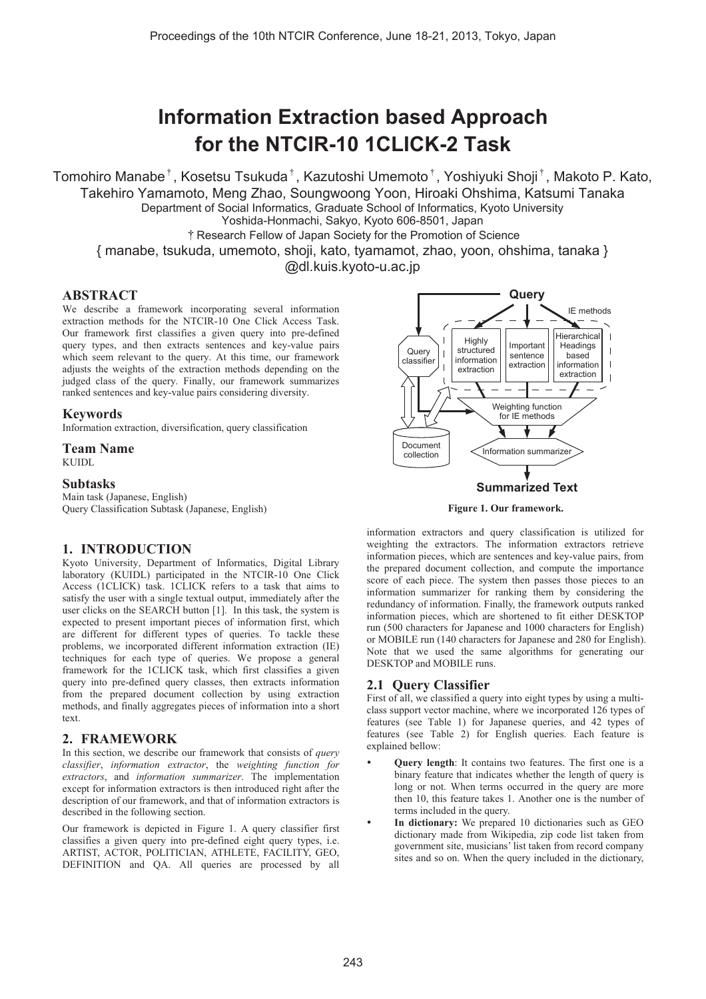# **Information Extraction based Approach for the NTCIR-10 1CLICK-2 Task**

Tomohiro Manabe<sup>†</sup>, Kosetsu Tsukuda<sup>†</sup>, Kazutoshi Umemoto<sup>†</sup>, Yoshiyuki Shoji<sup>†</sup>, Makoto P. Kato, Takehiro Yamamoto, Meng Zhao, Soungwoong Yoon, Hiroaki Ohshima, Katsumi Tanaka Department of Social Informatics, Graduate School of Informatics, Kyoto University Yoshida-Honmachi, Sakyo, Kyoto 606-8501, Japan ͊Research Fellow of Japan Society for the Promotion of Science { manabe, tsukuda, umemoto, shoji, kato, tyamamot, zhao, yoon, ohshima, tanaka } @dl.kuis.kyoto-u.ac.jp

## **ABSTRACT**

We describe a framework incorporating several information extraction methods for the NTCIR-10 One Click Access Task. Our framework first classifies a given query into pre-defined query types, and then extracts sentences and key-value pairs which seem relevant to the query. At this time, our framework adjusts the weights of the extraction methods depending on the judged class of the query. Finally, our framework summarizes ranked sentences and key-value pairs considering diversity.

#### **Keywords**

Information extraction, diversification, query classification

# **Team Name**

KUIDL

#### **Subtasks**

Main task (Japanese, English) Query Classification Subtask (Japanese, English)

## **1. INTRODUCTION**

Kyoto University, Department of Informatics, Digital Library laboratory (KUIDL) participated in the NTCIR-10 One Click Access (1CLICK) task. 1CLICK refers to a task that aims to satisfy the user with a single textual output, immediately after the user clicks on the SEARCH button [1]. In this task, the system is expected to present important pieces of information first, which are different for different types of queries. To tackle these problems, we incorporated different information extraction (IE) techniques for each type of queries. We propose a general framework for the 1CLICK task, which first classifies a given query into pre-defined query classes, then extracts information from the prepared document collection by using extraction methods, and finally aggregates pieces of information into a short text.

# **2. FRAMEWORK**

In this section, we describe our framework that consists of *query classifier*, *information extractor*, the *weighting function for extractors*, and *information summarizer*. The implementation except for information extractors is then introduced right after the description of our framework, and that of information extractors is described in the following section.

Our framework is depicted in Figure 1. A query classifier first classifies a given query into pre-defined eight query types, i.e. ARTIST, ACTOR, POLITICIAN, ATHLETE, FACILITY, GEO, DEFINITION and QA. All queries are processed by all





information extractors and query classification is utilized for weighting the extractors. The information extractors retrieve information pieces, which are sentences and key-value pairs, from the prepared document collection, and compute the importance score of each piece. The system then passes those pieces to an information summarizer for ranking them by considering the redundancy of information. Finally, the framework outputs ranked information pieces, which are shortened to fit either DESKTOP run (500 characters for Japanese and 1000 characters for English) or MOBILE run (140 characters for Japanese and 280 for English). Note that we used the same algorithms for generating our DESKTOP and MOBILE runs.

## **2.1 Query Classifier**

First of all, we classified a query into eight types by using a multiclass support vector machine, where we incorporated 126 types of features (see Table 1) for Japanese queries, and 42 types of features (see Table 2) for English queries. Each feature is explained bellow:

- **Query length**: It contains two features. The first one is a binary feature that indicates whether the length of query is long or not. When terms occurred in the query are more then 10, this feature takes 1. Another one is the number of terms included in the query.
- In dictionary: We prepared 10 dictionaries such as GEO dictionary made from Wikipedia, zip code list taken from government site, musicians' list taken from record company sites and so on. When the query included in the dictionary,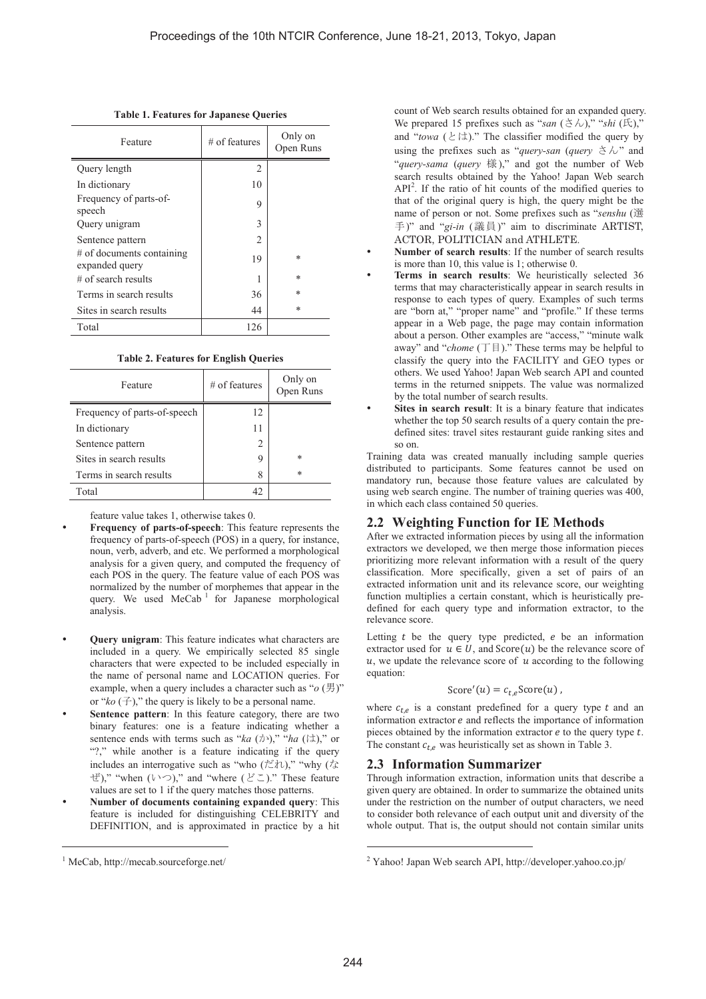| Feature                                     | $#$ of features | Only on<br>Open Runs |
|---------------------------------------------|-----------------|----------------------|
| Query length                                | 2               |                      |
| In dictionary                               | 10              |                      |
| Frequency of parts-of-<br>speech            | 9               |                      |
| Query unigram                               | 3               |                      |
| Sentence pattern                            | 2               |                      |
| # of documents containing<br>expanded query | 19              | $\ast$               |
| $\#$ of search results                      |                 | *                    |
| Terms in search results                     | 36              | $\ast$               |
| Sites in search results                     | 44              | *                    |
| Total                                       | 126             |                      |

|  | <b>Table 1. Features for Japanese Queries</b> |  |  |  |
|--|-----------------------------------------------|--|--|--|
|--|-----------------------------------------------|--|--|--|

| <b>Table 2. Features for English Queries</b> |  |  |
|----------------------------------------------|--|--|
|                                              |  |  |

| Feature                      | $#$ of features | Only on<br>Open Runs |
|------------------------------|-----------------|----------------------|
| Frequency of parts-of-speech | 12              |                      |
| In dictionary                |                 |                      |
| Sentence pattern             | 2               |                      |
| Sites in search results      | 9               | $\ast$               |
| Terms in search results      | 8               | $\ast$               |
| Total                        | 42              |                      |

feature value takes 1, otherwise takes 0.

- **Frequency of parts-of-speech**: This feature represents the frequency of parts-of-speech (POS) in a query, for instance, noun, verb, adverb, and etc. We performed a morphological analysis for a given query, and computed the frequency of each POS in the query. The feature value of each POS was normalized by the number of morphemes that appear in the query. We used  $MeCab$ <sup>1</sup> for Japanese morphological analysis.
- **Query unigram**: This feature indicates what characters are included in a query. We empirically selected 85 single characters that were expected to be included especially in the name of personal name and LOCATION queries. For example, when a query includes a character such as " $o$  (男)" or " $ko$  ( $\pm$ )," the query is likely to be a personal name.
- Sentence pattern: In this feature category, there are two binary features: one is a feature indicating whether a sentence ends with terms such as " $ka$  ( $\phi$ )," "*ha* ( $\phi$ )," or "?," while another is a feature indicating if the query includes an interrogative such as "who ( $\sharp$ t)," "why ( $\sharp$ )  $(\forall \zeta)$ ," "when  $(\vee \zeta)$ ," and "where  $(\forall \zeta)$ ." These feature values are set to 1 if the query matches those patterns.
- **Number of documents containing expanded query: This** feature is included for distinguishing CELEBRITY and DEFINITION, and is approximated in practice by a hit

1

count of Web search results obtained for an expanded query. We prepared 15 prefixes such as "*san* (ࢇࡉ(," "*shi* (Ặ)," and "*towa*  $(\&\&\&\&\))$ " The classifier modified the query by using the prefixes such as "*query-san (query*  $\forall \lambda$ " and "*query-sama* (*query* ᵝ)," and got the number of Web search results obtained by the Yahoo! Japan Web search API<sup>2</sup>. If the ratio of hit counts of the modified queries to that of the original query is high, the query might be the name of person or not. Some prefixes such as "senshu (選 手)" and "gi-in (議員)" aim to discriminate ARTIST, ACTOR, POLITICIAN and ATHLETE.

- Number of search results: If the number of search results is more than 10, this value is 1; otherwise 0.
- Terms in search results: We heuristically selected 36 terms that may characteristically appear in search results in response to each types of query. Examples of such terms are "born at," "proper name" and "profile." If these terms appear in a Web page, the page may contain information about a person. Other examples are "access," "minute walk away" and " $chome$  ( $\top \boxplus$ )." These terms may be helpful to classify the query into the FACILITY and GEO types or others. We used Yahoo! Japan Web search API and counted terms in the returned snippets. The value was normalized by the total number of search results.
- Sites in search result: It is a binary feature that indicates whether the top 50 search results of a query contain the predefined sites: travel sites restaurant guide ranking sites and so on.

Training data was created manually including sample queries distributed to participants. Some features cannot be used on mandatory run, because those feature values are calculated by using web search engine. The number of training queries was 400, in which each class contained 50 queries.

# **2.2 Weighting Function for IE Methods**

After we extracted information pieces by using all the information extractors we developed, we then merge those information pieces prioritizing more relevant information with a result of the query classification. More specifically, given a set of pairs of an extracted information unit and its relevance score, our weighting function multiplies a certain constant, which is heuristically predefined for each query type and information extractor, to the relevance score.

Letting  $t$  be the query type predicted,  $e$  be an information extractor used for  $u \in U$ , and  $Score(u)$  be the relevance score of  $u$ , we update the relevance score of  $u$  according to the following equation:

$$
Score'(u) = c_{t,e}Score(u),
$$

where  $c_{t,e}$  is a constant predefined for a query type  $t$  and an information extractor  $e$  and reflects the importance of information pieces obtained by the information extractor  $e$  to the query type  $t$ . The constant  $c_{t,e}$  was heuristically set as shown in Table 3.

## **2.3 Information Summarizer**

Through information extraction, information units that describe a given query are obtained. In order to summarize the obtained units under the restriction on the number of output characters, we need to consider both relevance of each output unit and diversity of the whole output. That is, the output should not contain similar units

<sup>1</sup> MeCab, http://mecab.sourceforge.net/

<sup>&</sup>lt;sup>2</sup> Yahoo! Japan Web search API, http://developer.yahoo.co.jp/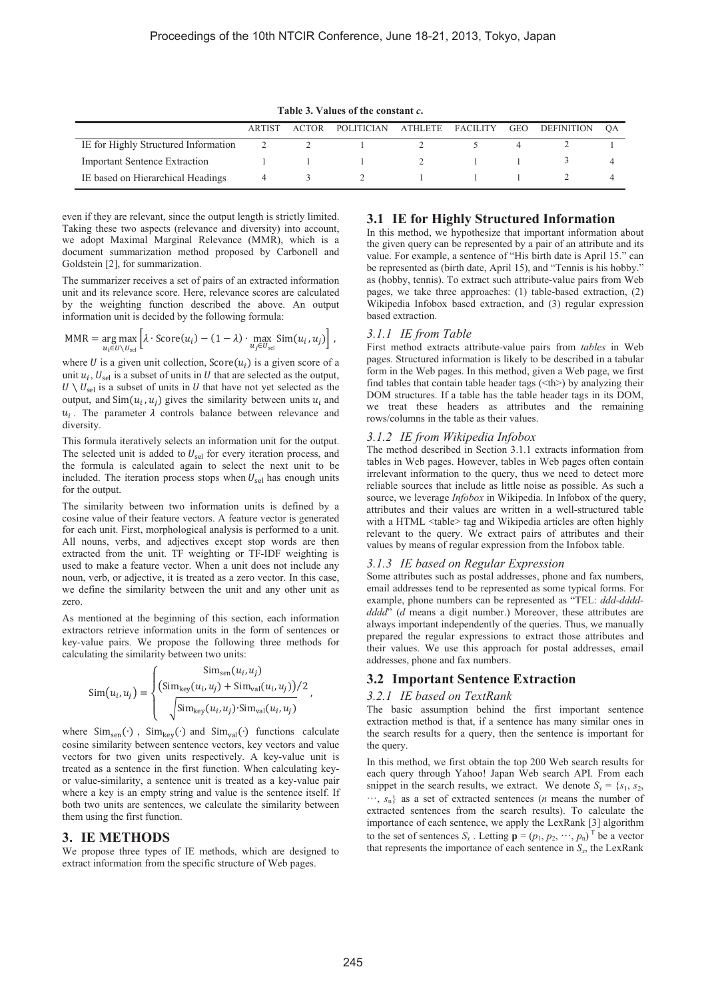**Table 3. Values of the constant** *c***.**

|                                      | <b>ARTIST</b> | ACTOR | POLITICIAN                   | ATHLETE FACILITY | GEO | DEFINITION | OA |
|--------------------------------------|---------------|-------|------------------------------|------------------|-----|------------|----|
| IE for Highly Structured Information |               |       |                              |                  |     |            |    |
| <b>Important Sentence Extraction</b> |               |       | $1 \t 1 \t 1 \t 2 \t 1 \t 1$ |                  |     |            |    |
| IE based on Hierarchical Headings    |               |       |                              |                  |     |            |    |

even if they are relevant, since the output length is strictly limited. Taking these two aspects (relevance and diversity) into account, we adopt Maximal Marginal Relevance (MMR), which is a document summarization method proposed by Carbonell and Goldstein [2], for summarization.

The summarizer receives a set of pairs of an extracted information unit and its relevance score. Here, relevance scores are calculated by the weighting function described the above. An output information unit is decided by the following formula:

$$
MMR = \underset{u_i \in U \setminus U_{\text{sel}}}{\arg \max} \left[ \lambda \cdot \text{Score}(u_i) - (1 - \lambda) \cdot \underset{u_j \in U_{\text{sel}}}{\max} \text{Sim}(u_i, u_j) \right],
$$

where U is a given unit collection,  $Score(u_i)$  is a given score of a unit  $u_i$ ,  $U_{\text{sel}}$  is a subset of units in U that are selected as the output,  $U \setminus U_{\text{sel}}$  is a subset of units in U that have not yet selected as the output, and  $Sim(u_i, u_j)$  gives the similarity between units  $u_i$  and  $u_i$ . The parameter  $\lambda$  controls balance between relevance and diversity.

This formula iteratively selects an information unit for the output. The selected unit is added to  $U_{\text{sel}}$  for every iteration process, and the formula is calculated again to select the next unit to be included. The iteration process stops when  $U_{\rm sel}$  has enough units for the output.

The similarity between two information units is defined by a cosine value of their feature vectors. A feature vector is generated for each unit. First, morphological analysis is performed to a unit. All nouns, verbs, and adjectives except stop words are then extracted from the unit. TF weighting or TF-IDF weighting is used to make a feature vector. When a unit does not include any noun, verb, or adjective, it is treated as a zero vector. In this case, we define the similarity between the unit and any other unit as zero.

As mentioned at the beginning of this section, each information extractors retrieve information units in the form of sentences or key-value pairs. We propose the following three methods for calculating the similarity between two units:

$$
\text{Sim}(u_i, u_j) = \begin{cases} \text{Sim}_{\text{sep}}(u_i, u_j) \\ \left(\text{Sim}_{\text{key}}(u_i, u_j) + \text{Sim}_{\text{val}}(u_i, u_j)\right) / 2 \\ \sqrt{\text{Sim}_{\text{key}}(u_i, u_j) \cdot \text{Sim}_{\text{val}}(u_i, u_j)} \end{cases}
$$

where  $Sim<sub>sen</sub>(·)$ ,  $Sim<sub>key</sub>(·)$  and  $Sim<sub>val</sub>(·)$  functions calculate cosine similarity between sentence vectors, key vectors and value vectors for two given units respectively. A key-value unit is treated as a sentence in the first function. When calculating keyor value-similarity, a sentence unit is treated as a key-value pair where a key is an empty string and value is the sentence itself. If both two units are sentences, we calculate the similarity between them using the first function.

#### **3. IE METHODS**

We propose three types of IE methods, which are designed to extract information from the specific structure of Web pages.

## **3.1 IE for Highly Structured Information**

In this method, we hypothesize that important information about the given query can be represented by a pair of an attribute and its value. For example, a sentence of "His birth date is April 15." can be represented as (birth date, April 15), and "Tennis is his hobby." as (hobby, tennis). To extract such attribute-value pairs from Web pages, we take three approaches: (1) table-based extraction, (2) Wikipedia Infobox based extraction, and (3) regular expression based extraction.

#### *3.1.1 IE from Table*

First method extracts attribute-value pairs from *tables* in Web pages. Structured information is likely to be described in a tabular form in the Web pages. In this method, given a Web page, we first find tables that contain table header tags  $(\text{th})$  by analyzing their DOM structures. If a table has the table header tags in its DOM, we treat these headers as attributes and the remaining rows/columns in the table as their values.

#### *3.1.2 IE from Wikipedia Infobox*

The method described in Section 3.1.1 extracts information from tables in Web pages. However, tables in Web pages often contain irrelevant information to the query, thus we need to detect more reliable sources that include as little noise as possible. As such a source, we leverage *Infobox* in Wikipedia. In Infobox of the query, attributes and their values are written in a well-structured table with a HTML <table> tag and Wikipedia articles are often highly relevant to the query. We extract pairs of attributes and their values by means of regular expression from the Infobox table.

#### *3.1.3 IE based on Regular Expression*

Some attributes such as postal addresses, phone and fax numbers, email addresses tend to be represented as some typical forms. For example, phone numbers can be represented as "TEL: *ddd*-*dddddddd*" (*d* means a digit number.) Moreover, these attributes are always important independently of the queries. Thus, we manually prepared the regular expressions to extract those attributes and their values. We use this approach for postal addresses, email addresses, phone and fax numbers.

#### **3.2 Important Sentence Extraction**

#### *3.2.1 IE based on TextRank*

The basic assumption behind the first important sentence extraction method is that, if a sentence has many similar ones in the search results for a query, then the sentence is important for the query.

In this method, we first obtain the top 200 Web search results for each query through Yahoo! Japan Web search API. From each snippet in the search results, we extract. We denote  $S_x = \{s_1, s_2,$ ͐, *s*n} as a set of extracted sentences (*n* means the number of extracted sentences from the search results). To calculate the importance of each sentence, we apply the LexRank [3] algorithm to the set of sentences  $S_x$ . Letting  $\mathbf{p} = (p_1, p_2, \dots, p_n)^\text{T}$  be a vector that represents the importance of each sentence in  $S<sub>x</sub>$ , the LexRank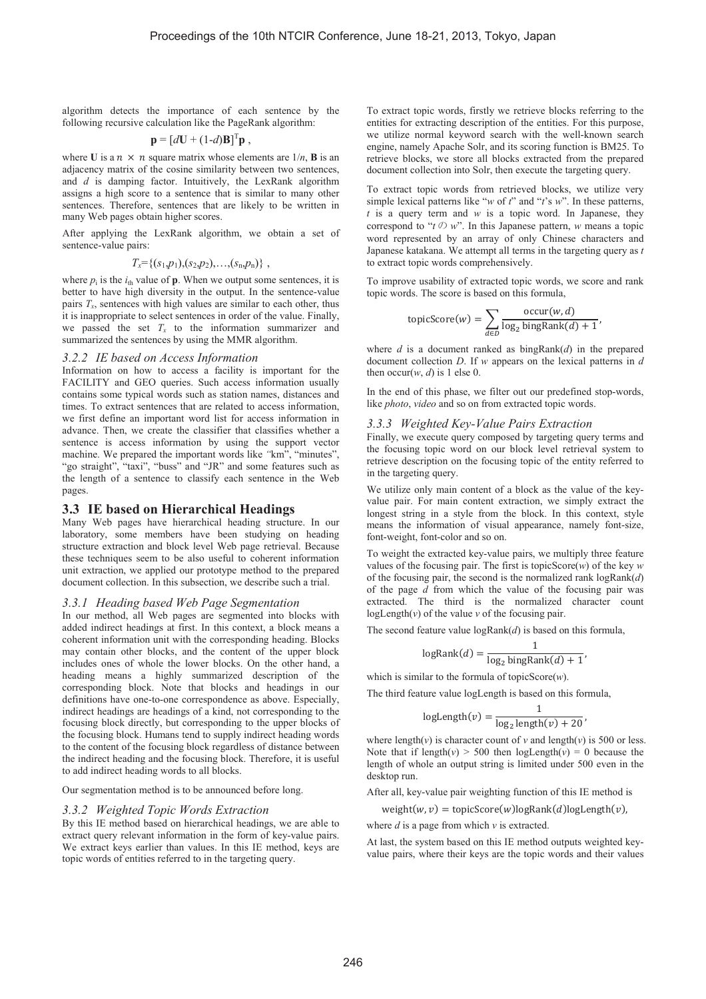algorithm detects the importance of each sentence by the following recursive calculation like the PageRank algorithm:

$$
\mathbf{p} = [d\mathbf{U} + (1-d)\mathbf{B}]^{\mathrm{T}} \mathbf{p} ,
$$

where **U** is a  $n \times n$  square matrix whose elements are  $1/n$ , **B** is an adjacency matrix of the cosine similarity between two sentences, and *d* is damping factor. Intuitively, the LexRank algorithm assigns a high score to a sentence that is similar to many other sentences. Therefore, sentences that are likely to be written in many Web pages obtain higher scores.

After applying the LexRank algorithm, we obtain a set of sentence-value pairs:

$$
T_x = \{(s_1,p_1), (s_2,p_2), \ldots, (s_n,p_n)\},\,
$$

where  $p_i$  is the  $i_{th}$  value of **p**. When we output some sentences, it is better to have high diversity in the output. In the sentence-value pairs  $T<sub>x</sub>$ , sentences with high values are similar to each other, thus it is inappropriate to select sentences in order of the value. Finally, we passed the set  $T_x$  to the information summarizer and summarized the sentences by using the MMR algorithm.

#### *3.2.2 IE based on Access Information*

Information on how to access a facility is important for the FACILITY and GEO queries. Such access information usually contains some typical words such as station names, distances and times. To extract sentences that are related to access information, we first define an important word list for access information in advance. Then, we create the classifier that classifies whether a sentence is access information by using the support vector machine. We prepared the important words like *"*km", "minutes", "go straight", "taxi", "buss" and "JR" and some features such as the length of a sentence to classify each sentence in the Web pages.

## **3.3 IE based on Hierarchical Headings**

Many Web pages have hierarchical heading structure. In our laboratory, some members have been studying on heading structure extraction and block level Web page retrieval. Because these techniques seem to be also useful to coherent information unit extraction, we applied our prototype method to the prepared document collection. In this subsection, we describe such a trial.

## *3.3.1 Heading based Web Page Segmentation*

In our method, all Web pages are segmented into blocks with added indirect headings at first. In this context, a block means a coherent information unit with the corresponding heading. Blocks may contain other blocks, and the content of the upper block includes ones of whole the lower blocks. On the other hand, a heading means a highly summarized description of the corresponding block. Note that blocks and headings in our definitions have one-to-one correspondence as above. Especially, indirect headings are headings of a kind, not corresponding to the focusing block directly, but corresponding to the upper blocks of the focusing block. Humans tend to supply indirect heading words to the content of the focusing block regardless of distance between the indirect heading and the focusing block. Therefore, it is useful to add indirect heading words to all blocks.

Our segmentation method is to be announced before long.

### *3.3.2 Weighted Topic Words Extraction*

By this IE method based on hierarchical headings, we are able to extract query relevant information in the form of key-value pairs. We extract keys earlier than values. In this IE method, keys are topic words of entities referred to in the targeting query.

To extract topic words, firstly we retrieve blocks referring to the entities for extracting description of the entities. For this purpose, we utilize normal keyword search with the well-known search engine, namely Apache Solr, and its scoring function is BM25. To retrieve blocks, we store all blocks extracted from the prepared document collection into Solr, then execute the targeting query.

To extract topic words from retrieved blocks, we utilize very simple lexical patterns like "*w* of *t*" and "*t*'s *w*". In these patterns, *t* is a query term and *w* is a topic word. In Japanese, they correspond to " $t \oslash w$ ". In this Japanese pattern, *w* means a topic word represented by an array of only Chinese characters and Japanese katakana. We attempt all terms in the targeting query as *t* to extract topic words comprehensively.

To improve usability of extracted topic words, we score and rank topic words. The score is based on this formula,

$$
topicScore(w) = \sum_{d \in D} \frac{occur(w, d)}{\log_2 bingRank(d) + 1},
$$

where *d* is a document ranked as bingRank(*d*) in the prepared document collection *D*. If *w* appears on the lexical patterns in *d* then occur $(w, d)$  is 1 else 0.

In the end of this phase, we filter out our predefined stop-words, like *photo*, *video* and so on from extracted topic words.

#### *3.3.3 Weighted Key-Value Pairs Extraction*

Finally, we execute query composed by targeting query terms and the focusing topic word on our block level retrieval system to retrieve description on the focusing topic of the entity referred to in the targeting query.

We utilize only main content of a block as the value of the keyvalue pair. For main content extraction, we simply extract the longest string in a style from the block. In this context, style means the information of visual appearance, namely font-size, font-weight, font-color and so on.

To weight the extracted key-value pairs, we multiply three feature values of the focusing pair. The first is topicScore(*w*) of the key *w* of the focusing pair, the second is the normalized rank logRank(*d*) of the page *d* from which the value of the focusing pair was extracted. The third is the normalized character count logLength( $\nu$ ) of the value  $\nu$  of the focusing pair.

The second feature value logRank(*d*) is based on this formula,

$$
logRank(d) = \frac{1}{log_2 bingRank(d) + 1},
$$

which is similar to the formula of topicScore(*w*).

The third feature value logLength is based on this formula,

$$
logLength(v) = \frac{1}{log_2 length(v) + 20},
$$

where length( $v$ ) is character count of  $v$  and length( $v$ ) is 500 or less. Note that if length( $v$ ) > 500 then logLength( $v$ ) = 0 because the length of whole an output string is limited under 500 even in the desktop run.

After all, key-value pair weighting function of this IE method is

 $weight(w, v) = topicScore(w)logRank(d)logLength(v),$ 

where *d* is a page from which *v* is extracted.

At last, the system based on this IE method outputs weighted keyvalue pairs, where their keys are the topic words and their values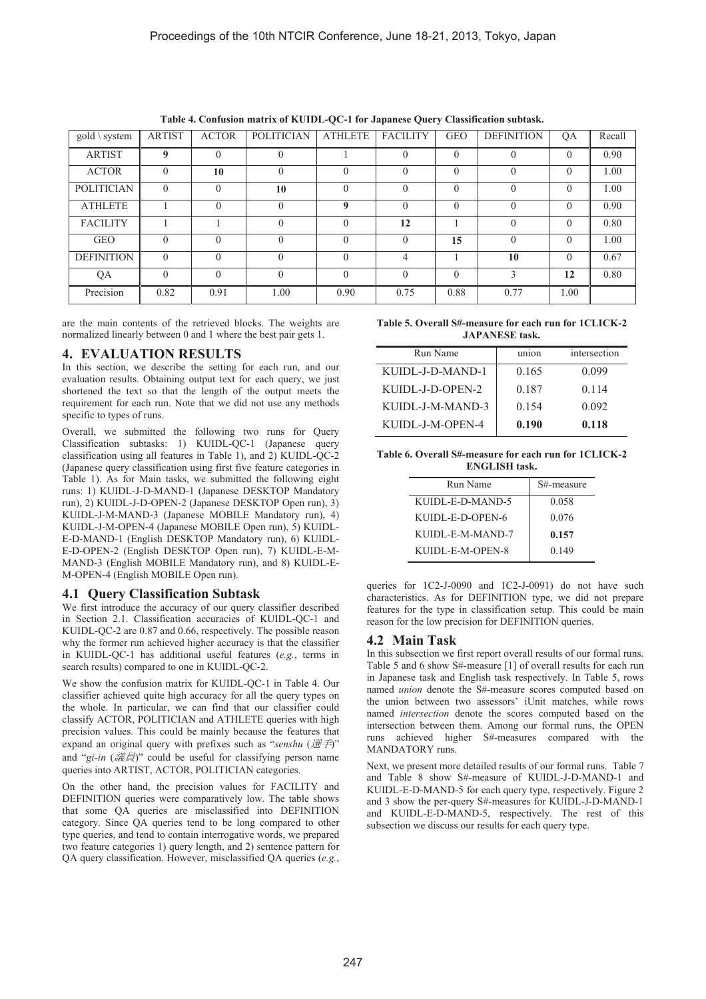| $gold \setminus system$ | <b>ARTIST</b> | <b>ACTOR</b> | <b>POLITICIAN</b> | <b>ATHLETE</b>   | <b>FACILITY</b> | <b>GEO</b> | <b>DEFINITION</b> | QA       | Recall |
|-------------------------|---------------|--------------|-------------------|------------------|-----------------|------------|-------------------|----------|--------|
| <b>ARTIST</b>           | 9             | $\mathbf{0}$ | $\theta$          |                  | $\Omega$        | $\theta$   | $\Omega$          | $\Omega$ | 0.90   |
| <b>ACTOR</b>            | $\Omega$      | 10           | $\theta$          | $\Omega$         | $\theta$        | $\theta$   | $\Omega$          | $\Omega$ | 1.00   |
| <b>POLITICIAN</b>       | $\Omega$      | $\mathbf{0}$ | 10                | $\Omega$         | $\Omega$        | $\theta$   |                   | $\theta$ | 1.00   |
| <b>ATHLETE</b>          |               | $\theta$     | $\theta$          | $\boldsymbol{0}$ | $\theta$        | $\Omega$   | $\Omega$          | $\Omega$ | 0.90   |
| <b>FACILITY</b>         |               |              | $\theta$          | $\Omega$         | 12              |            | $\Omega$          | $\Omega$ | 0.80   |
| <b>GEO</b>              | $\Omega$      | $\Omega$     | $\Omega$          | $\Omega$         | $\Omega$        | 15         | $\Omega$          | $\Omega$ | 1.00   |
| <b>DEFINITION</b>       | $\theta$      | $\theta$     | $\theta$          | $\theta$         | 4               |            | 10                | $\Omega$ | 0.67   |
| QA                      | $\theta$      | $\theta$     | $\overline{0}$    | $\Omega$         | $\theta$        | $\Omega$   | $\mathcal{E}$     | 12       | 0.80   |
| Precision               | 0.82          | 0.91         | 1.00              | 0.90             | 0.75            | 0.88       | 0.77              | 1.00     |        |

**Table 4. Confusion matrix of KUIDL-QC-1 for Japanese Query Classification subtask.** 

are the main contents of the retrieved blocks. The weights are normalized linearly between 0 and 1 where the best pair gets 1.

# **4. EVALUATION RESULTS**

In this section, we describe the setting for each run, and our evaluation results. Obtaining output text for each query, we just shortened the text so that the length of the output meets the requirement for each run. Note that we did not use any methods specific to types of runs.

Overall, we submitted the following two runs for Query Classification subtasks: 1) KUIDL-QC-1 (Japanese query classification using all features in Table 1), and 2) KUIDL-QC-2 (Japanese query classification using first five feature categories in Table 1). As for Main tasks, we submitted the following eight runs: 1) KUIDL-J-D-MAND-1 (Japanese DESKTOP Mandatory run), 2) KUIDL-J-D-OPEN-2 (Japanese DESKTOP Open run), 3) KUIDL-J-M-MAND-3 (Japanese MOBILE Mandatory run), 4) KUIDL-J-M-OPEN-4 (Japanese MOBILE Open run), 5) KUIDL-E-D-MAND-1 (English DESKTOP Mandatory run), 6) KUIDL-E-D-OPEN-2 (English DESKTOP Open run), 7) KUIDL-E-M-MAND-3 (English MOBILE Mandatory run), and 8) KUIDL-E-M-OPEN-4 (English MOBILE Open run).

# **4.1 Query Classification Subtask**

We first introduce the accuracy of our query classifier described in Section 2.1. Classification accuracies of KUIDL-QC-1 and KUIDL-QC-2 are 0.87 and 0.66, respectively. The possible reason why the former run achieved higher accuracy is that the classifier in KUIDL-QC-1 has additional useful features (*e.g.*, terms in search results) compared to one in KUIDL-QC-2.

We show the confusion matrix for KUIDL-OC-1 in Table 4. Our classifier achieved quite high accuracy for all the query types on the whole. In particular, we can find that our classifier could classify ACTOR, POLITICIAN and ATHLETE queries with high precision values. This could be mainly because the features that expand an original query with prefixes such as "senshu (選手)" and "gi-in (議員)" could be useful for classifying person name queries into ARTIST, ACTOR, POLITICIAN categories.

On the other hand, the precision values for FACILITY and DEFINITION queries were comparatively low. The table shows that some QA queries are misclassified into DEFINITION category. Since QA queries tend to be long compared to other type queries, and tend to contain interrogative words, we prepared two feature categories 1) query length, and 2) sentence pattern for QA query classification. However, misclassified QA queries (*e.g.*,

| Table 5. Overall S#-measure for each run for 1CLICK-2 |
|-------------------------------------------------------|
| <b>JAPANESE</b> task.                                 |

| Run Name         | union | intersection |
|------------------|-------|--------------|
| KUIDL-J-D-MAND-1 | 0.165 | 0.099        |
| KUIDL-J-D-OPEN-2 | 0.187 | 0 1 1 4      |
| KUIDL-J-M-MAND-3 | 0.154 | 0.092        |
| KUIDL-J-M-OPEN-4 | 0.190 | 0.118        |

**Table 6. Overall S#-measure for each run for 1CLICK-2 ENGLISH task.** 

| Run Name         | S#-measure |
|------------------|------------|
| KUIDL-E-D-MAND-5 | 0.058      |
| KUIDL-E-D-OPEN-6 | 0.076      |
| KUIDL-E-M-MAND-7 | 0.157      |
| KUIDL-E-M-OPEN-8 | 0.149      |

queries for 1C2-J-0090 and 1C2-J-0091) do not have such characteristics. As for DEFINITION type, we did not prepare features for the type in classification setup. This could be main reason for the low precision for DEFINITION queries.

# **4.2 Main Task**

In this subsection we first report overall results of our formal runs. Table 5 and 6 show S#-measure [1] of overall results for each run in Japanese task and English task respectively. In Table 5, rows named *union* denote the S#-measure scores computed based on the union between two assessors' iUnit matches, while rows named *intersection* denote the scores computed based on the intersection between them. Among our formal runs, the OPEN runs achieved higher S#-measures compared with the MANDATORY runs.

Next, we present more detailed results of our formal runs. Table 7 and Table 8 show S#-measure of KUIDL-J-D-MAND-1 and KUIDL-E-D-MAND-5 for each query type, respectively. Figure 2 and 3 show the per-query S#-measures for KUIDL-J-D-MAND-1 and KUIDL-E-D-MAND-5, respectively. The rest of this subsection we discuss our results for each query type.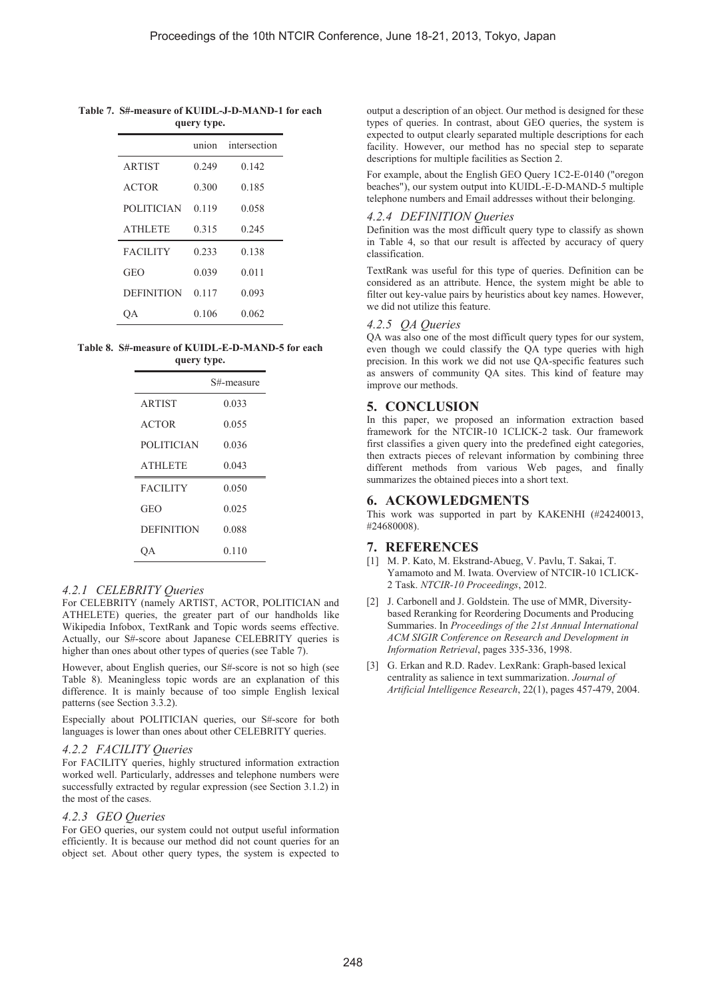#### **Table 7. S#-measure of KUIDL-J-D-MAND-1 for each query type.**

|                   | union | intersection |
|-------------------|-------|--------------|
| <b>ARTIST</b>     | 0.249 | 0.142        |
| <b>ACTOR</b>      | 0.300 | 0.185        |
| <b>POLITICIAN</b> | 0.119 | 0.058        |
| <b>ATHLETE</b>    | 0.315 | 0.245        |
| <b>FACILITY</b>   | 0.233 | 0.138        |
| <b>GEO</b>        | 0.039 | 0.011        |
| <b>DEFINITION</b> | 0.117 | 0.093        |
|                   | 0.106 | 0.062        |

#### **Table 8. S#-measure of KUIDL-E-D-MAND-5 for each query type.**

|                   | S#-measure |
|-------------------|------------|
| <b>ARTIST</b>     | 0.033      |
| <b>ACTOR</b>      | 0.055      |
| <b>POLITICIAN</b> | 0.036      |
| <b>ATHLETE</b>    | 0.043      |
| <b>FACILITY</b>   | 0.050      |
| <b>GEO</b>        | 0.025      |
| <b>DEFINITION</b> | 0.088      |
|                   | 0.110      |

# *4.2.1 CELEBRITY Queries*

For CELEBRITY (namely ARTIST, ACTOR, POLITICIAN and ATHELETE) queries, the greater part of our handholds like Wikipedia Infobox, TextRank and Topic words seems effective. Actually, our S#-score about Japanese CELEBRITY queries is higher than ones about other types of queries (see Table 7).

However, about English queries, our S#-score is not so high (see Table 8). Meaningless topic words are an explanation of this difference. It is mainly because of too simple English lexical patterns (see Section 3.3.2).

Especially about POLITICIAN queries, our S#-score for both languages is lower than ones about other CELEBRITY queries.

# *4.2.2 FACILITY Queries*

For FACILITY queries, highly structured information extraction worked well. Particularly, addresses and telephone numbers were successfully extracted by regular expression (see Section 3.1.2) in the most of the cases.

## *4.2.3 GEO Queries*

For GEO queries, our system could not output useful information efficiently. It is because our method did not count queries for an object set. About other query types, the system is expected to

output a description of an object. Our method is designed for these types of queries. In contrast, about GEO queries, the system is expected to output clearly separated multiple descriptions for each facility. However, our method has no special step to separate descriptions for multiple facilities as Section 2.

For example, about the English GEO Query 1C2-E-0140 ("oregon beaches"), our system output into KUIDL-E-D-MAND-5 multiple telephone numbers and Email addresses without their belonging.

## *4.2.4 DEFINITION Queries*

Definition was the most difficult query type to classify as shown in Table 4, so that our result is affected by accuracy of query classification.

TextRank was useful for this type of queries. Definition can be considered as an attribute. Hence, the system might be able to filter out key-value pairs by heuristics about key names. However, we did not utilize this feature.

# *4.2.5 QA Queries*

QA was also one of the most difficult query types for our system, even though we could classify the QA type queries with high precision. In this work we did not use QA-specific features such as answers of community QA sites. This kind of feature may improve our methods.

# **5. CONCLUSION**

In this paper, we proposed an information extraction based framework for the NTCIR-10 1CLICK-2 task. Our framework first classifies a given query into the predefined eight categories, then extracts pieces of relevant information by combining three different methods from various Web pages, and finally summarizes the obtained pieces into a short text.

# **6. ACKOWLEDGMENTS**

This work was supported in part by KAKENHI (#24240013, #24680008).

# **7. REFERENCES**

- [1] M. P. Kato, M. Ekstrand-Abueg, V. Pavlu, T. Sakai, T. Yamamoto and M. Iwata. Overview of NTCIR-10 1CLICK-2 Task. *NTCIR-10 Proceedings*, 2012.
- [2] J. Carbonell and J. Goldstein. The use of MMR, Diversitybased Reranking for Reordering Documents and Producing Summaries. In *Proceedings of the 21st Annual International ACM SIGIR Conference on Research and Development in Information Retrieval*, pages 335-336, 1998.
- [3] G. Erkan and R.D. Radev. LexRank: Graph-based lexical centrality as salience in text summarization. *Journal of Artificial Intelligence Research*, 22(1), pages 457-479, 2004.